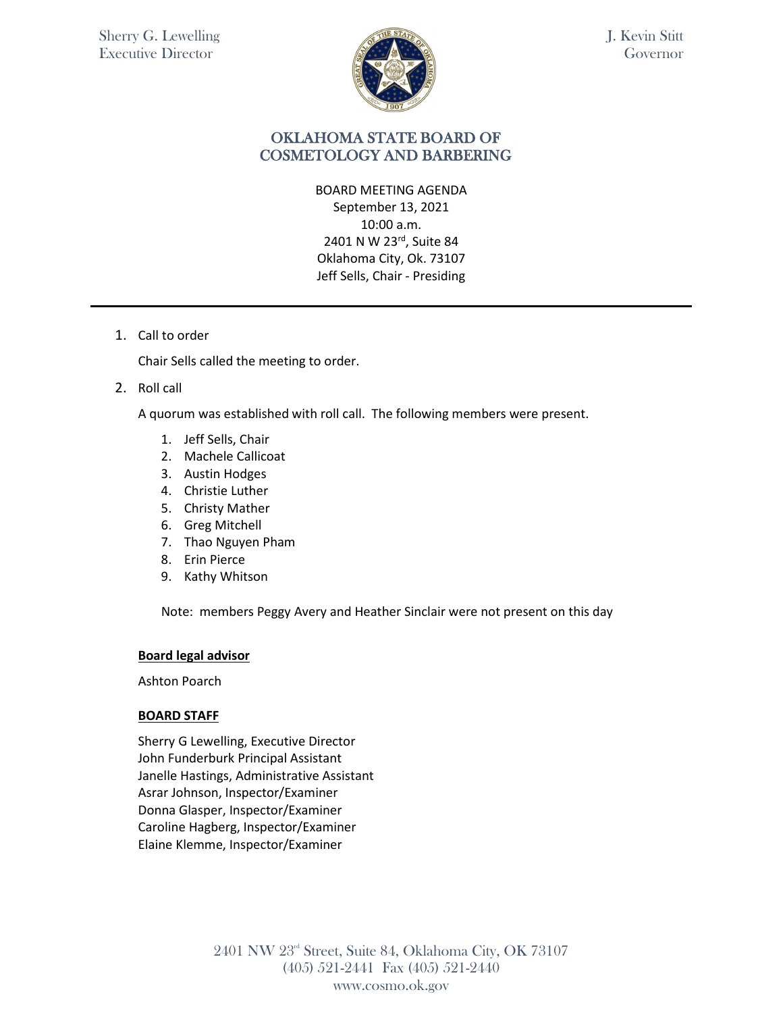

# OKLAHOMA STATE BOARD OF COSMETOLOGY AND BARBERING

BOARD MEETING AGENDA September 13, 2021 10:00 a.m. 2401 N W 23rd, Suite 84 Oklahoma City, Ok. 73107 Jeff Sells, Chair - Presiding

1. Call to order

Chair Sells called the meeting to order.

2. Roll call

A quorum was established with roll call. The following members were present.

- 1. Jeff Sells, Chair
- 2. Machele Callicoat
- 3. Austin Hodges
- 4. Christie Luther
- 5. Christy Mather
- 6. Greg Mitchell
- 7. Thao Nguyen Pham
- 8. Erin Pierce
- 9. Kathy Whitson

Note: members Peggy Avery and Heather Sinclair were not present on this day

#### **Board legal advisor**

Ashton Poarch

#### **BOARD STAFF**

Sherry G Lewelling, Executive Director John Funderburk Principal Assistant Janelle Hastings, Administrative Assistant Asrar Johnson, Inspector/Examiner Donna Glasper, Inspector/Examiner Caroline Hagberg, Inspector/Examiner Elaine Klemme, Inspector/Examiner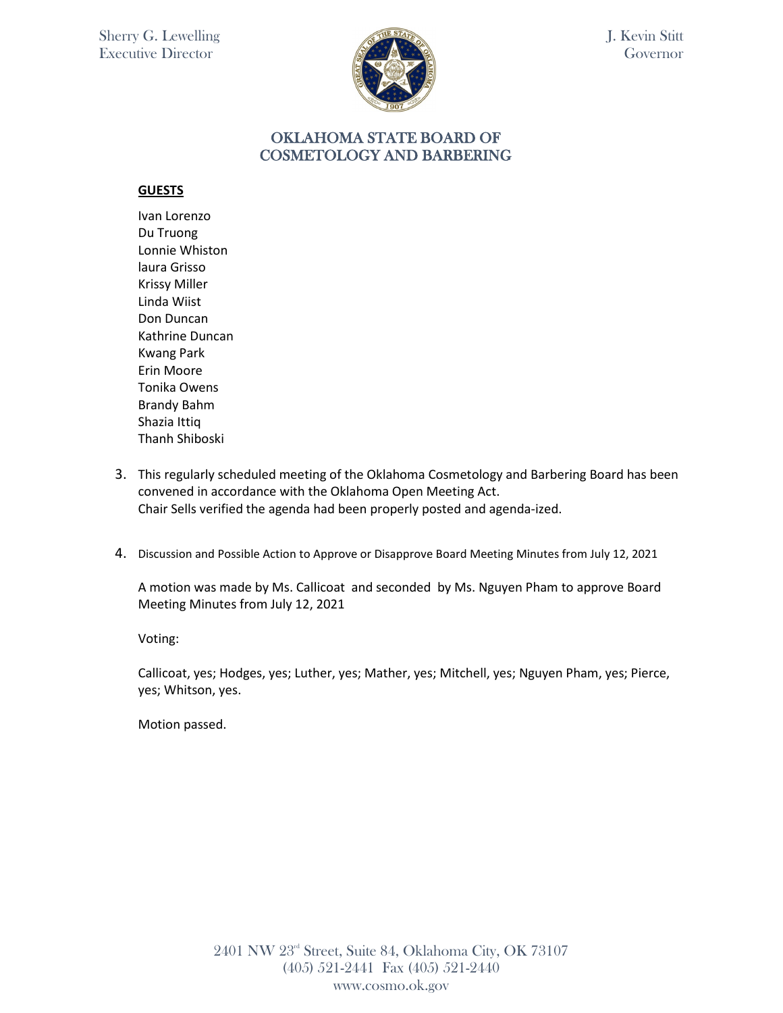

### OKLAHOMA STATE BOARD OF COSMETOLOGY AND BARBERING

#### **GUESTS**

Ivan Lorenzo Du Truong Lonnie Whiston laura Grisso Krissy Miller Linda Wiist Don Duncan Kathrine Duncan Kwang Park Erin Moore Tonika Owens Brandy Bahm Shazia Ittiq Thanh Shiboski

- 3. This regularly scheduled meeting of the Oklahoma Cosmetology and Barbering Board has been convened in accordance with the Oklahoma Open Meeting Act. Chair Sells verified the agenda had been properly posted and agenda-ized.
- 4. Discussion and Possible Action to Approve or Disapprove Board Meeting Minutes from July 12, 2021

A motion was made by Ms. Callicoat and seconded by Ms. Nguyen Pham to approve Board Meeting Minutes from July 12, 2021

Voting:

Callicoat, yes; Hodges, yes; Luther, yes; Mather, yes; Mitchell, yes; Nguyen Pham, yes; Pierce, yes; Whitson, yes.

Motion passed.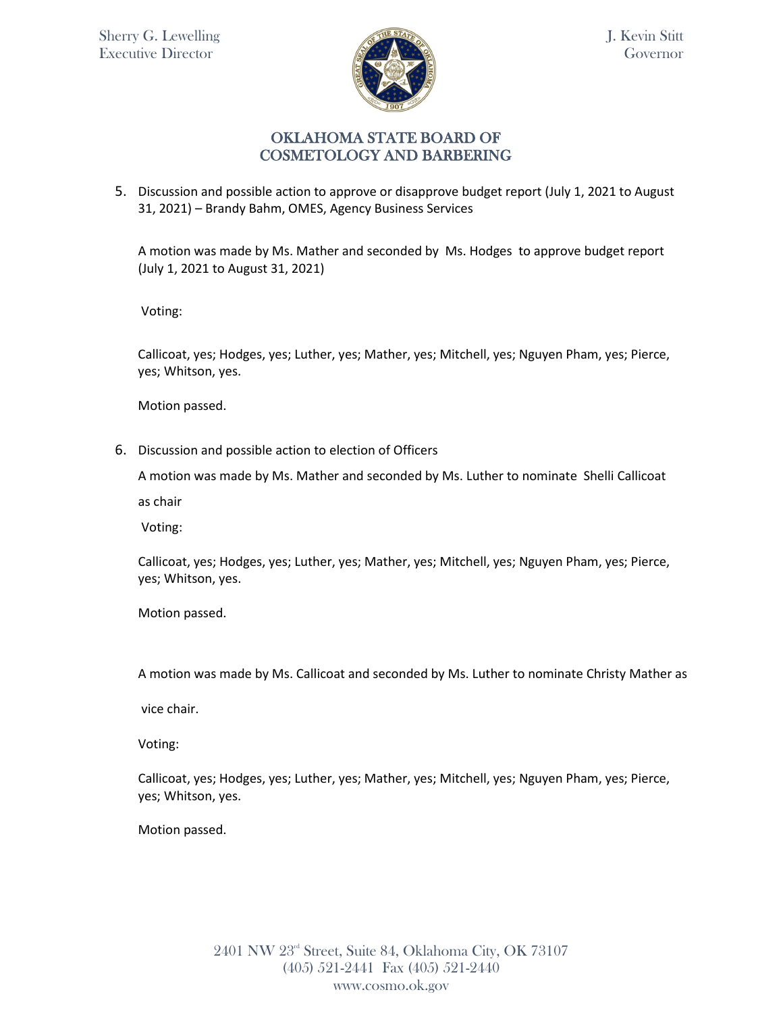

5. Discussion and possible action to approve or disapprove budget report (July 1, 2021 to August 31, 2021) – Brandy Bahm, OMES, Agency Business Services

A motion was made by Ms. Mather and seconded by Ms. Hodges to approve budget report (July 1, 2021 to August 31, 2021)

Voting:

Callicoat, yes; Hodges, yes; Luther, yes; Mather, yes; Mitchell, yes; Nguyen Pham, yes; Pierce, yes; Whitson, yes.

Motion passed.

6. Discussion and possible action to election of Officers

A motion was made by Ms. Mather and seconded by Ms. Luther to nominate Shelli Callicoat

as chair

Voting:

Callicoat, yes; Hodges, yes; Luther, yes; Mather, yes; Mitchell, yes; Nguyen Pham, yes; Pierce, yes; Whitson, yes.

Motion passed.

A motion was made by Ms. Callicoat and seconded by Ms. Luther to nominate Christy Mather as

vice chair.

Voting:

Callicoat, yes; Hodges, yes; Luther, yes; Mather, yes; Mitchell, yes; Nguyen Pham, yes; Pierce, yes; Whitson, yes.

Motion passed.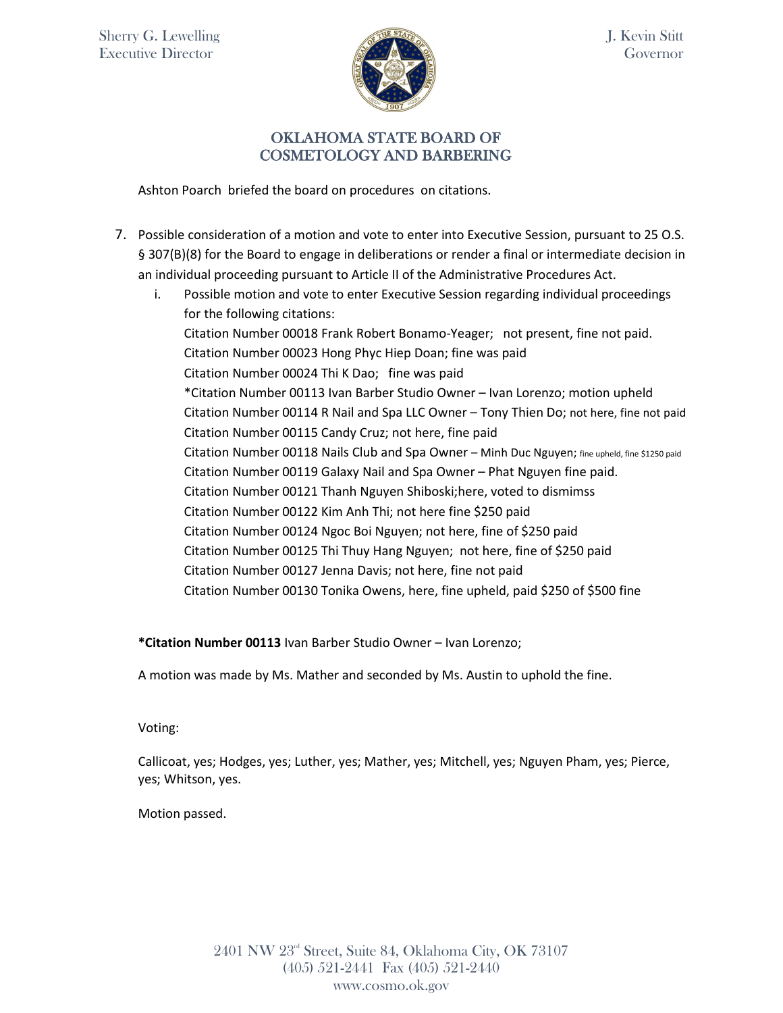

Ashton Poarch briefed the board on procedures on citations.

- 7. Possible consideration of a motion and vote to enter into Executive Session, pursuant to 25 O.S. § 307(B)(8) for the Board to engage in deliberations or render a final or intermediate decision in an individual proceeding pursuant to Article II of the Administrative Procedures Act.
	- i. Possible motion and vote to enter Executive Session regarding individual proceedings for the following citations: Citation Number 00018 Frank Robert Bonamo-Yeager; not present, fine not paid. Citation Number 00023 Hong Phyc Hiep Doan; fine was paid Citation Number 00024 Thi K Dao; fine was paid \*Citation Number 00113 Ivan Barber Studio Owner – Ivan Lorenzo; motion upheld Citation Number 00114 R Nail and Spa LLC Owner – Tony Thien Do; not here, fine not paid Citation Number 00115 Candy Cruz; not here, fine paid Citation Number 00118 Nails Club and Spa Owner – Minh Duc Nguyen; fine upheld, fine \$1250 paid Citation Number 00119 Galaxy Nail and Spa Owner – Phat Nguyen fine paid. Citation Number 00121 Thanh Nguyen Shiboski;here, voted to dismimss Citation Number 00122 Kim Anh Thi; not here fine \$250 paid Citation Number 00124 Ngoc Boi Nguyen; not here, fine of \$250 paid Citation Number 00125 Thi Thuy Hang Nguyen; not here, fine of \$250 paid Citation Number 00127 Jenna Davis; not here, fine not paid Citation Number 00130 Tonika Owens, here, fine upheld, paid \$250 of \$500 fine

**\*Citation Number 00113** Ivan Barber Studio Owner – Ivan Lorenzo;

A motion was made by Ms. Mather and seconded by Ms. Austin to uphold the fine.

Voting:

Callicoat, yes; Hodges, yes; Luther, yes; Mather, yes; Mitchell, yes; Nguyen Pham, yes; Pierce, yes; Whitson, yes.

Motion passed.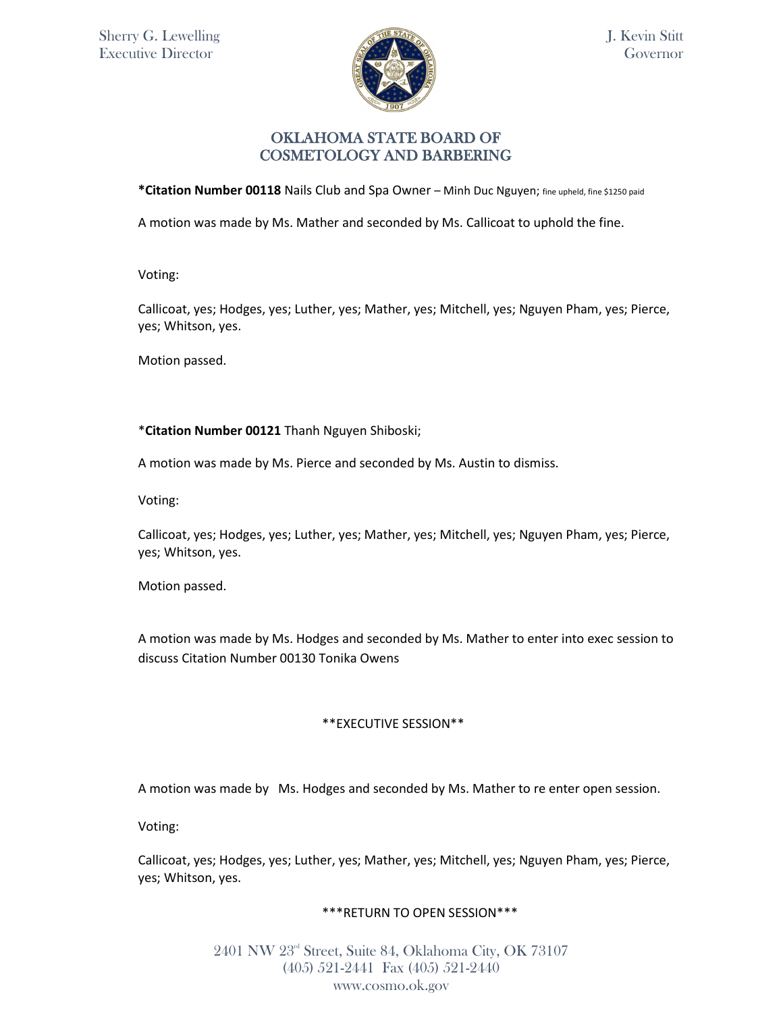

\*Citation Number 00118 Nails Club and Spa Owner - Minh Duc Nguyen; fine upheld, fine \$1250 paid

A motion was made by Ms. Mather and seconded by Ms. Callicoat to uphold the fine.

Voting:

Callicoat, yes; Hodges, yes; Luther, yes; Mather, yes; Mitchell, yes; Nguyen Pham, yes; Pierce, yes; Whitson, yes.

Motion passed.

\***Citation Number 00121** Thanh Nguyen Shiboski;

A motion was made by Ms. Pierce and seconded by Ms. Austin to dismiss.

Voting:

Callicoat, yes; Hodges, yes; Luther, yes; Mather, yes; Mitchell, yes; Nguyen Pham, yes; Pierce, yes; Whitson, yes.

Motion passed.

A motion was made by Ms. Hodges and seconded by Ms. Mather to enter into exec session to discuss Citation Number 00130 Tonika Owens

#### \*\*EXECUTIVE SESSION\*\*

A motion was made by Ms. Hodges and seconded by Ms. Mather to re enter open session.

Voting:

Callicoat, yes; Hodges, yes; Luther, yes; Mather, yes; Mitchell, yes; Nguyen Pham, yes; Pierce, yes; Whitson, yes.

#### \*\*\*RETURN TO OPEN SESSION\*\*\*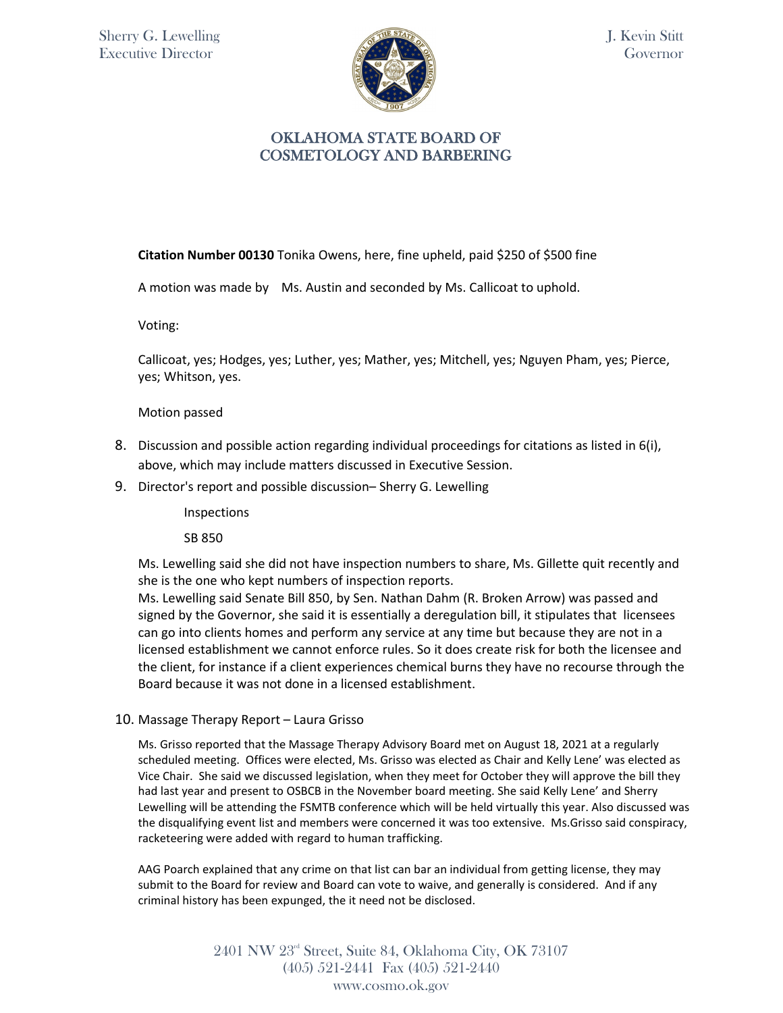

**Citation Number 00130** Tonika Owens, here, fine upheld, paid \$250 of \$500 fine

A motion was made by Ms. Austin and seconded by Ms. Callicoat to uphold.

Voting:

Callicoat, yes; Hodges, yes; Luther, yes; Mather, yes; Mitchell, yes; Nguyen Pham, yes; Pierce, yes; Whitson, yes.

Motion passed

- 8. Discussion and possible action regarding individual proceedings for citations as listed in 6(i), above, which may include matters discussed in Executive Session.
- 9. Director's report and possible discussion– Sherry G. Lewelling

Inspections

SB 850

Ms. Lewelling said she did not have inspection numbers to share, Ms. Gillette quit recently and she is the one who kept numbers of inspection reports.

Ms. Lewelling said Senate Bill 850, by Sen. Nathan Dahm (R. Broken Arrow) was passed and signed by the Governor, she said it is essentially a deregulation bill, it stipulates that licensees can go into clients homes and perform any service at any time but because they are not in a licensed establishment we cannot enforce rules. So it does create risk for both the licensee and the client, for instance if a client experiences chemical burns they have no recourse through the Board because it was not done in a licensed establishment.

10. Massage Therapy Report – Laura Grisso

Ms. Grisso reported that the Massage Therapy Advisory Board met on August 18, 2021 at a regularly scheduled meeting. Offices were elected, Ms. Grisso was elected as Chair and Kelly Lene' was elected as Vice Chair. She said we discussed legislation, when they meet for October they will approve the bill they had last year and present to OSBCB in the November board meeting. She said Kelly Lene' and Sherry Lewelling will be attending the FSMTB conference which will be held virtually this year. Also discussed was the disqualifying event list and members were concerned it was too extensive. Ms.Grisso said conspiracy, racketeering were added with regard to human trafficking.

AAG Poarch explained that any crime on that list can bar an individual from getting license, they may submit to the Board for review and Board can vote to waive, and generally is considered. And if any criminal history has been expunged, the it need not be disclosed.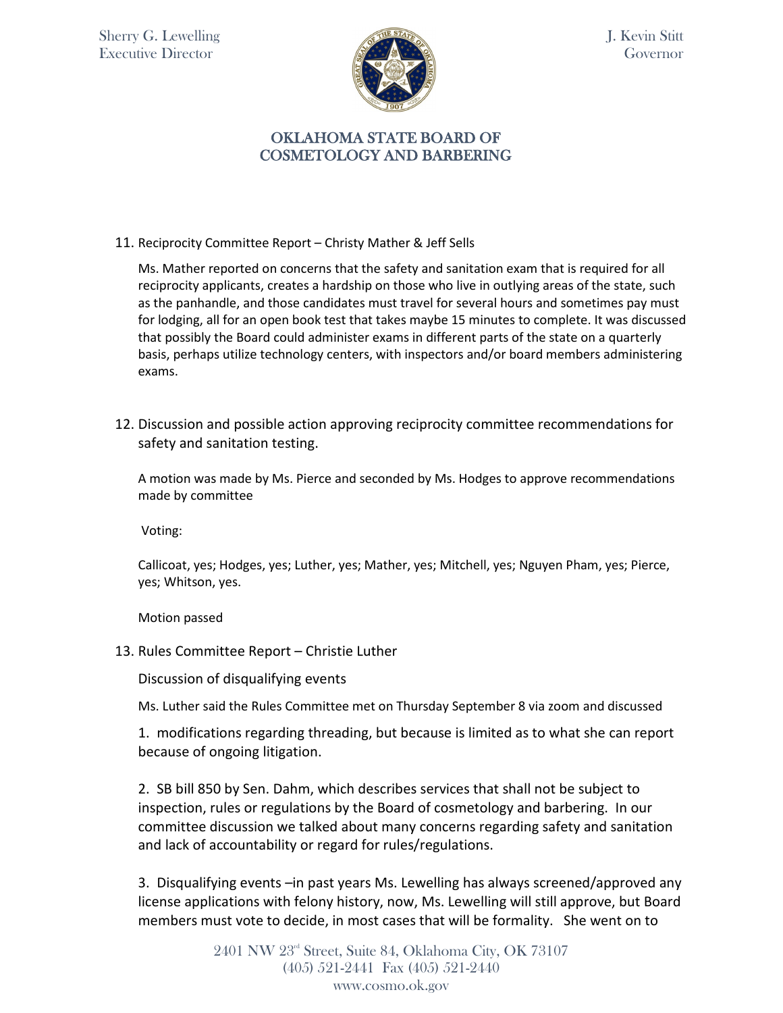

# OKLAHOMA STATE BOARD OF COSMETOLOGY AND BARBERING

11. Reciprocity Committee Report – Christy Mather & Jeff Sells

Ms. Mather reported on concerns that the safety and sanitation exam that is required for all reciprocity applicants, creates a hardship on those who live in outlying areas of the state, such as the panhandle, and those candidates must travel for several hours and sometimes pay must for lodging, all for an open book test that takes maybe 15 minutes to complete. It was discussed that possibly the Board could administer exams in different parts of the state on a quarterly basis, perhaps utilize technology centers, with inspectors and/or board members administering exams.

12. Discussion and possible action approving reciprocity committee recommendations for safety and sanitation testing.

A motion was made by Ms. Pierce and seconded by Ms. Hodges to approve recommendations made by committee

Voting:

Callicoat, yes; Hodges, yes; Luther, yes; Mather, yes; Mitchell, yes; Nguyen Pham, yes; Pierce, yes; Whitson, yes.

Motion passed

13. Rules Committee Report – Christie Luther

Discussion of disqualifying events

Ms. Luther said the Rules Committee met on Thursday September 8 via zoom and discussed

1. modifications regarding threading, but because is limited as to what she can report because of ongoing litigation.

2. SB bill 850 by Sen. Dahm, which describes services that shall not be subject to inspection, rules or regulations by the Board of cosmetology and barbering. In our committee discussion we talked about many concerns regarding safety and sanitation and lack of accountability or regard for rules/regulations.

3. Disqualifying events –in past years Ms. Lewelling has always screened/approved any license applications with felony history, now, Ms. Lewelling will still approve, but Board members must vote to decide, in most cases that will be formality. She went on to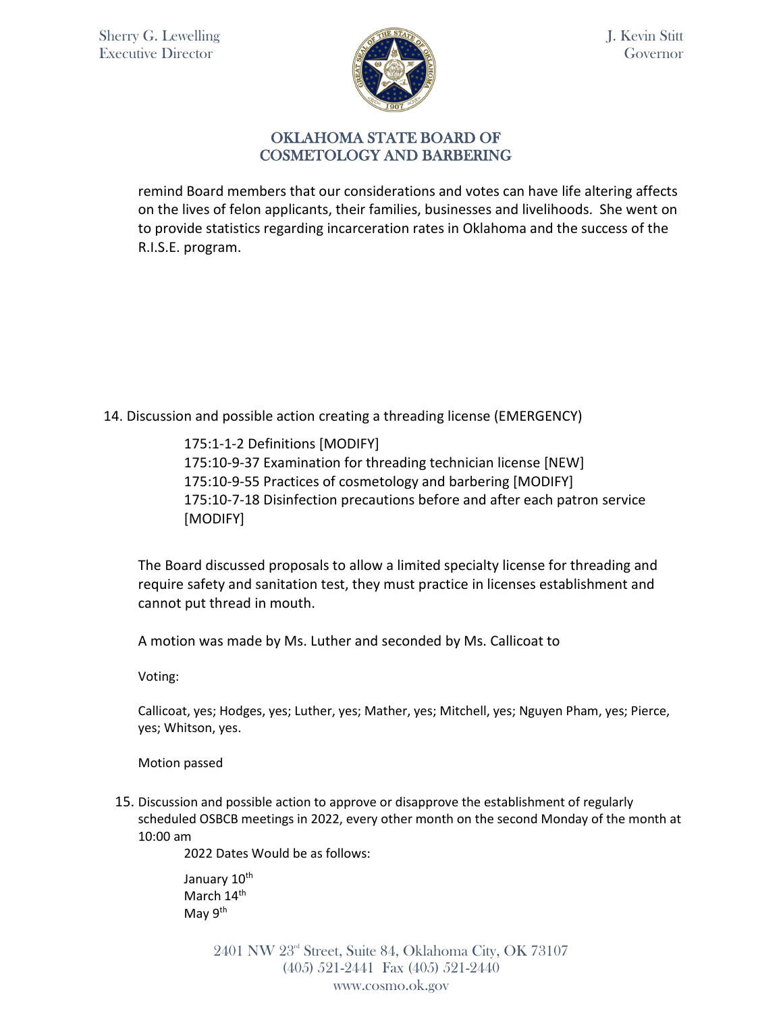

remind Board members that our considerations and votes can have life altering affects on the lives of felon applicants, their families, businesses and livelihoods. She went on to provide statistics regarding incarceration rates in Oklahoma and the success of the R.I.S.E. program.

14. Discussion and possible action creating a threading license (EMERGENCY)

175:1-1-2 Definitions [MODIFY] 175:10-9-37 Examination for threading technician license [NEW] 175:10-9-55 Practices of cosmetology and barbering [MODIFY] 175:10-7-18 Disinfection precautions before and after each patron service [MODIFY]

The Board discussed proposals to allow a limited specialty license for threading and require safety and sanitation test, they must practice in licenses establishment and cannot put thread in mouth.

A motion was made by Ms. Luther and seconded by Ms. Callicoat to

Voting:

Callicoat, yes; Hodges, yes; Luther, yes; Mather, yes; Mitchell, yes; Nguyen Pham, yes; Pierce, yes; Whitson, yes.

Motion passed

15. Discussion and possible action to approve or disapprove the establishment of regularly scheduled OSBCB meetings in 2022, every other month on the second Monday of the month at 10:00 am

2022 Dates Would be as follows:

January 10<sup>th</sup> March 14<sup>th</sup> May 9<sup>th</sup>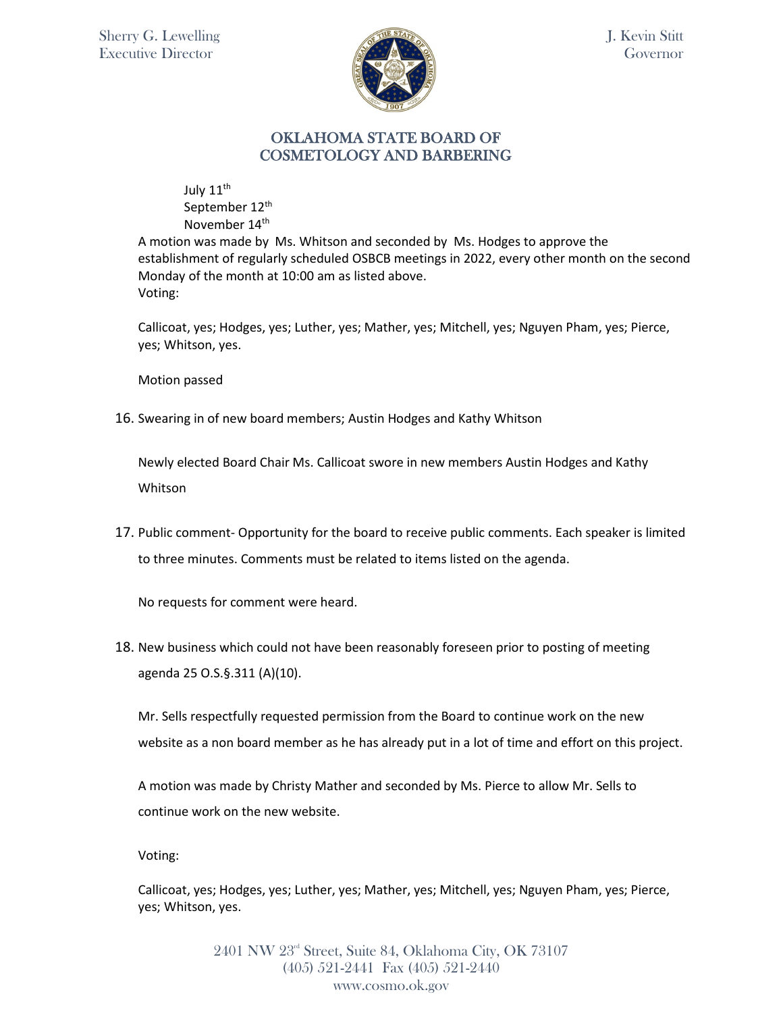

July 11<sup>th</sup> September 12<sup>th</sup> November 14<sup>th</sup>

A motion was made by Ms. Whitson and seconded by Ms. Hodges to approve the establishment of regularly scheduled OSBCB meetings in 2022, every other month on the second Monday of the month at 10:00 am as listed above. Voting:

Callicoat, yes; Hodges, yes; Luther, yes; Mather, yes; Mitchell, yes; Nguyen Pham, yes; Pierce, yes; Whitson, yes.

Motion passed

16. Swearing in of new board members; Austin Hodges and Kathy Whitson

Newly elected Board Chair Ms. Callicoat swore in new members Austin Hodges and Kathy Whitson

17. Public comment- Opportunity for the board to receive public comments. Each speaker is limited to three minutes. Comments must be related to items listed on the agenda.

No requests for comment were heard.

18. New business which could not have been reasonably foreseen prior to posting of meeting agenda 25 O.S.§.311 (A)(10).

Mr. Sells respectfully requested permission from the Board to continue work on the new website as a non board member as he has already put in a lot of time and effort on this project.

A motion was made by Christy Mather and seconded by Ms. Pierce to allow Mr. Sells to continue work on the new website.

Voting:

Callicoat, yes; Hodges, yes; Luther, yes; Mather, yes; Mitchell, yes; Nguyen Pham, yes; Pierce, yes; Whitson, yes.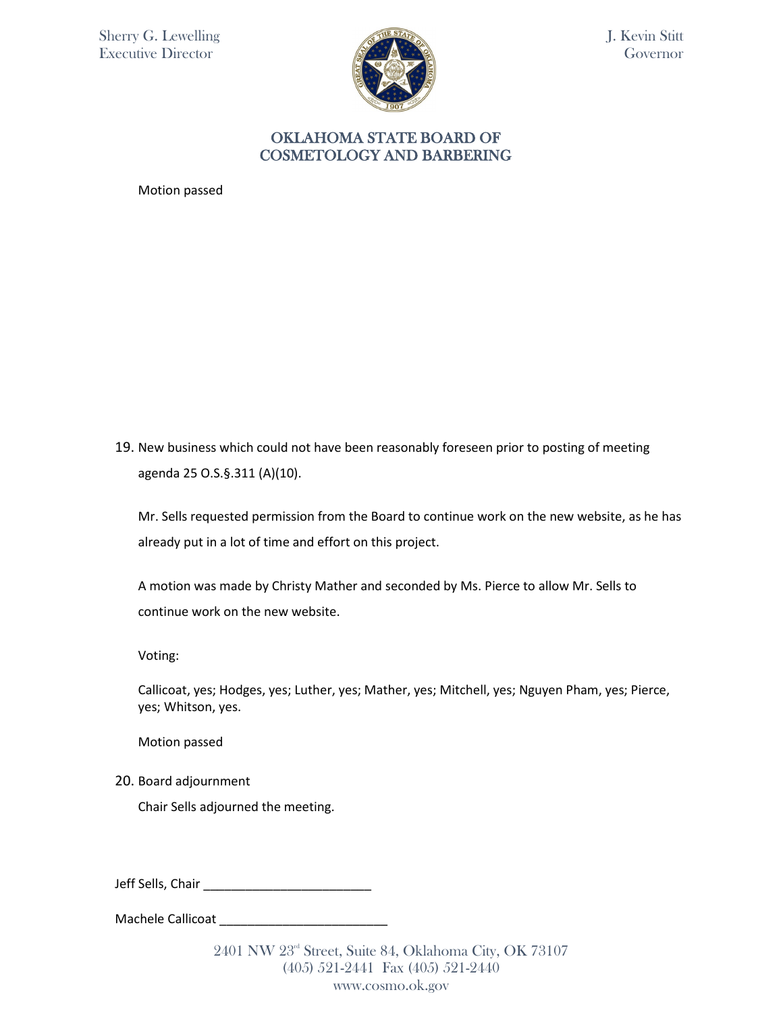

#### OKLAHOMA STATE BOARD OF COSMETOLOGY AND BARBERING

Motion passed

19. New business which could not have been reasonably foreseen prior to posting of meeting agenda 25 O.S.§.311 (A)(10).

Mr. Sells requested permission from the Board to continue work on the new website, as he has already put in a lot of time and effort on this project.

A motion was made by Christy Mather and seconded by Ms. Pierce to allow Mr. Sells to continue work on the new website.

Voting:

Callicoat, yes; Hodges, yes; Luther, yes; Mather, yes; Mitchell, yes; Nguyen Pham, yes; Pierce, yes; Whitson, yes.

Motion passed

20. Board adjournment

Chair Sells adjourned the meeting.

Jeff Sells, Chair \_\_\_\_\_\_\_\_\_\_\_\_\_\_\_\_\_\_\_\_\_\_\_\_

Machele Callicoat \_\_\_\_\_\_\_\_\_\_\_\_\_\_\_\_\_\_\_\_\_\_\_\_